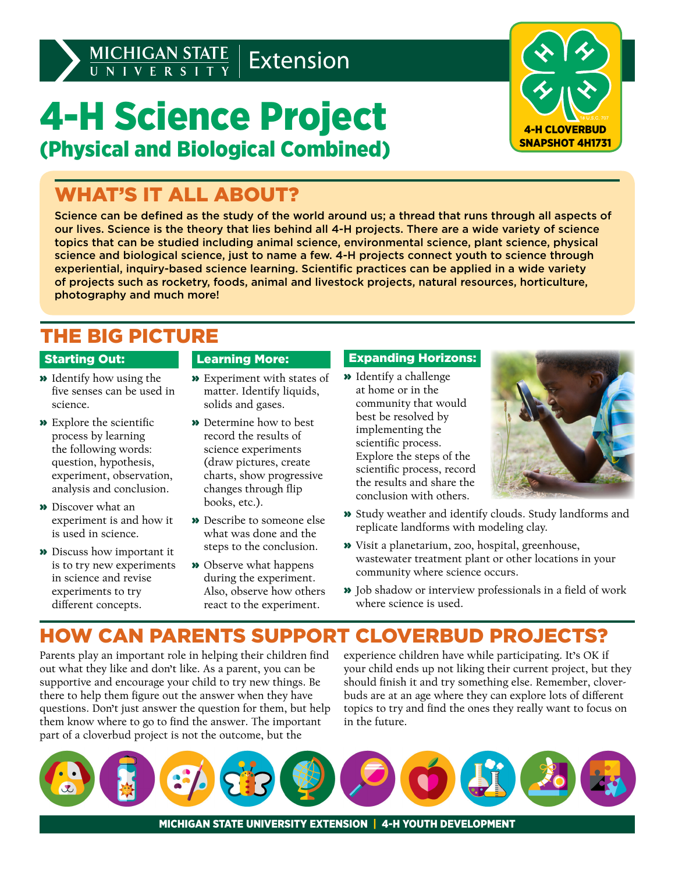# 4-H Science Project (Physical and Biological Combined)



### WHAT'S IT ALL ABOUT?

Science can be defined as the study of the world around us; a thread that runs through all aspects of our lives. Science is the theory that lies behind all 4-H projects. There are a wide variety of science topics that can be studied including animal science, environmental science, plant science, physical science and biological science, just to name a few. 4-H projects connect youth to science through experiential, inquiry-based science learning. Scientific practices can be applied in a wide variety of projects such as rocketry, foods, animal and livestock projects, natural resources, horticulture, photography and much more!

### THE BIG PICTURE

#### Starting Out:

- » Identify how using the five senses can be used in science.
- » Explore the scientific process by learning the following words: question, hypothesis, experiment, observation, analysis and conclusion.
- » Discover what an experiment is and how it is used in science.
- » Discuss how important it is to try new experiments in science and revise experiments to try different concepts.

#### Learning More:

- » Experiment with states of matter. Identify liquids, solids and gases.
- » Determine how to best record the results of science experiments (draw pictures, create charts, show progressive changes through flip books, etc.).
- » Describe to someone else what was done and the steps to the conclusion.
- » Observe what happens during the experiment. Also, observe how others react to the experiment.

#### Expanding Horizons:

» Identify a challenge at home or in the community that would best be resolved by implementing the scientific process. Explore the steps of the scientific process, record the results and share the conclusion with others.



- » Study weather and identify clouds. Study landforms and replicate landforms with modeling clay.
- » Visit a planetarium, zoo, hospital, greenhouse, wastewater treatment plant or other locations in your community where science occurs.
- » Job shadow or interview professionals in a field of work where science is used.

### HOW CAN PARENTS SUPPORT CLOVERBUD PROJECTS?

Parents play an important role in helping their children find out what they like and don't like. As a parent, you can be supportive and encourage your child to try new things. Be there to help them figure out the answer when they have questions. Don't just answer the question for them, but help them know where to go to find the answer. The important part of a cloverbud project is not the outcome, but the

experience children have while participating. It's OK if your child ends up not liking their current project, but they should finish it and try something else. Remember, cloverbuds are at an age where they can explore lots of different topics to try and find the ones they really want to focus on in the future.



MICHIGAN STATE UNIVERSITY EXTENSION | 4-H YOUTH DEVELOPMENT